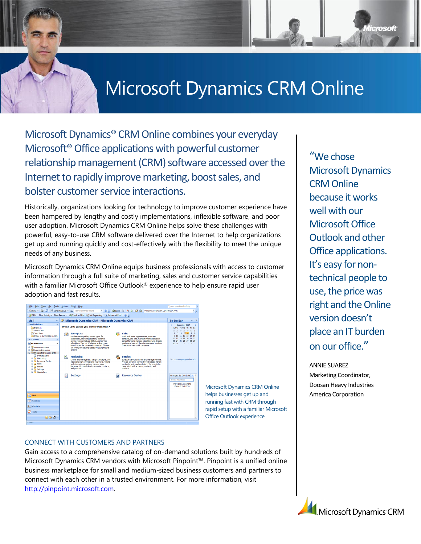# Microsoft Dynamics CRM Online

Microsoft Dynamics® CRM Online combines your everyday Microsoft®Office applications with powerful customer relationship management (CRM) software accessed over the Internet to rapidly improve marketing, boost sales, and bolster customer service interactions.

Historically, organizations looking for technology to improve customer experience have been hampered by lengthy and costly implementations, inflexible software, and poor user adoption. Microsoft Dynamics CRM Online helps solve these challenges with powerful, easy-to-use CRM software delivered over the Internet to help organizations get up and running quickly and cost-effectively with the flexibility to meet the unique needs of any business.

Microsoft Dynamics CRM Online equips business professionals with access to customer information through a full suite of marketing, sales and customer service capabilities with a familiar Microsoft Office Outlook® experience to help ensure rapid user adoption and fast results.



Microsoft Dynamics CRM Online helps businesses get up and running fast with CRM through rapid setup with a familiar Microsoft Office Outlook experience.

#### CONNECT WITH CUSTOMERS AND PARTNERS

Gain access to a comprehensive catalog of on-demand solutions built by hundreds of Microsoft Dynamics CRM vendors with Microsoft Pinpoint™. Pinpoint is a unified online business marketplace for small and medium-sized business customers and partners to connect with each other in a trusted environment. For more information, visit [http://pinpoint.microsoft.com.](http://pinpoint.microsoft.com/)

"We chose Microsoft Dynamics CRM Online because it works well with our Microsoft Office Outlook and other Office applications. It's easy for nontechnical people to use, the price was right and the Online version doesn't place an IT burden on our office."

licrosoft

ANNIE SUAREZ Marketing Coordinator, Doosan Heavy Industries America Corporation

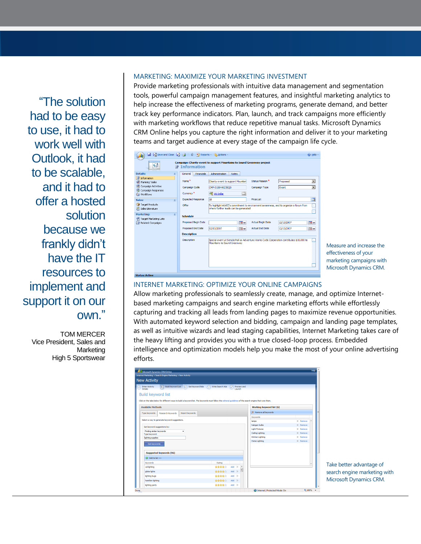"The solution had to be easy to use, it had to work well with Outlook, it had to be scalable, and it had to offer a hosted solution because we frankly didn't have the IT resources to implement and support it on our own."

TOM MERCER Vice President, Sales and Marketing High 5 Sportswear

#### MARKETING: MAXIMIZE YOUR MARKETING INVESTMENT

Provide marketing professionals with intuitive data management and segmentation tools, powerful campaign management features, and insightful marketing analytics to help increase the effectiveness of marketing programs, generate demand, and better track key performance indicators. Plan, launch, and track campaigns more efficiently with marketing workflows that reduce repetitive manual tasks. Microsoft Dynamics CRM Online helps you capture the right information and deliver it to your marketing teams and target audience at every stage of the campaign life cycle.

| ■ ■ Save and Close ■ 当  U ■ Reports - あ Actions -<br>(a) Help                                                    |                                                                                                                                         |                                                                                                                               |                            |                                  |  |  |
|------------------------------------------------------------------------------------------------------------------|-----------------------------------------------------------------------------------------------------------------------------------------|-------------------------------------------------------------------------------------------------------------------------------|----------------------------|----------------------------------|--|--|
| <b>Campaign: Charity event to support Mountains to Sound Greenway project</b><br>€<br><b><i></i></b> ∄nformation |                                                                                                                                         |                                                                                                                               |                            |                                  |  |  |
| <b>Details:</b><br>交                                                                                             | <b>Financials</b><br>General                                                                                                            | <b>Administration</b><br><b>Notes</b>                                                                                         |                            |                                  |  |  |
| Information<br>Planning Tasks                                                                                    | Name <sup>*</sup>                                                                                                                       | Charity event to support Mountain                                                                                             | Status Reason <sup>*</sup> | ٠<br>Proposed                    |  |  |
| Campaign Activities                                                                                              | Campaign Code                                                                                                                           | CMP-01004-RZ3SO0                                                                                                              | Campaign Type              | $\blacksquare$<br>Event          |  |  |
| Campaign Responses<br><b>G&amp; Workflows</b>                                                                    | Currency <sup>*</sup>                                                                                                                   | 國<br>嘎 US Dollar                                                                                                              |                            |                                  |  |  |
| Sales:<br>k                                                                                                      | <b>Expected Response</b>                                                                                                                | 18                                                                                                                            | Price List                 | 同                                |  |  |
| Target Products<br>Sales Literature                                                                              | Offer                                                                                                                                   | To highlight AWCC's commitment to environment awareness, and to organize a forum from<br>where further leads can be generated |                            |                                  |  |  |
| <b>Marketing:</b><br>×.                                                                                          | <b>Schedule</b>                                                                                                                         |                                                                                                                               |                            |                                  |  |  |
| Target Marketing Lists<br>Related Campaigns                                                                      | Proposed Begin Date                                                                                                                     | $\overline{\bullet}$                                                                                                          | <b>Actual Begin Date</b>   | 12/13/2007<br><b>TO</b> v        |  |  |
|                                                                                                                  | Proposed End Date                                                                                                                       | <b>To</b> v<br>12/13/2007                                                                                                     | <b>Actual End Date</b>     | $\overline{\circ}$<br>12/13/2007 |  |  |
|                                                                                                                  | <b>Description</b>                                                                                                                      |                                                                                                                               |                            |                                  |  |  |
|                                                                                                                  | Description<br>Special event at Senate hall as Adventure Works Cycle Corporation contributes \$10,000 to<br>Mountains to Sound Greenway |                                                                                                                               |                            |                                  |  |  |
| <b>Status: Active</b>                                                                                            |                                                                                                                                         |                                                                                                                               |                            |                                  |  |  |

Measure and increase the effectiveness of your marketing campaigns with Microsoft Dynamics CRM.

#### INTERNET MARKETING: OPTIMIZE YOUR ONLINE CAMPAIGNS

Allow marketing professionals to seamlessly create, manage, and optimize Internetbased marketing campaigns and search engine marketing efforts while effortlessly capturing and tracking all leads from landing pages to maximize revenue opportunities. With automated keyword selection and bidding, campaign and landing page templates, as well as intuitive wizards and lead staging capabilities, Internet Marketing takes care of the heavy lifting and provides you with a true closed-loop process. Embedded intelligence and optimization models help you make the most of your online advertising efforts.

| <b>New Activity</b>                 |                                               |                                                                                                                                                            |                          |                  |                       |   |                       |                 |
|-------------------------------------|-----------------------------------------------|------------------------------------------------------------------------------------------------------------------------------------------------------------|--------------------------|------------------|-----------------------|---|-----------------------|-----------------|
| <b>Enter Activity</b><br>Details    | $\mathcal{D}$                                 | Build Keyword List 2 Set Keyword Bids 4 Write Search Ads                                                                                                   |                          | G                | Preview and<br>Launch |   |                       |                 |
| <b>Build keyword list</b>           |                                               | Click on the tabs below for different ways to build a keyword list. The keywords must follow the ecitorial quidelines of the search engine that runs them. |                          |                  |                       |   |                       |                 |
| <b>Available Methods</b>            |                                               |                                                                                                                                                            | Working keyword list (6) |                  |                       |   |                       |                 |
| Type keywords                       | Research Keywords                             | Import keywords                                                                                                                                            |                          |                  |                       |   | X Remove all keywords |                 |
|                                     |                                               |                                                                                                                                                            |                          |                  |                       |   | Keywords              |                 |
|                                     | Select a way to generate keyword suggestions. |                                                                                                                                                            |                          |                  |                       |   | lamps                 | $\times$ Remove |
| Get keyword suggestions by:         |                                               |                                                                                                                                                            |                          |                  |                       |   | halogen bulbs         | X Remove        |
| Finding similar keywords            |                                               |                                                                                                                                                            | <b>Light Fixtures</b>    | $X$ Remove       |                       |   |                       |                 |
| ۰<br>Type keyword:                  |                                               |                                                                                                                                                            |                          | Celing Lighting  | X Remove              |   |                       |                 |
| lighting supplies                   |                                               |                                                                                                                                                            |                          | Kitchen Lighting | X Remove              |   |                       |                 |
| Get keywords                        |                                               |                                                                                                                                                            |                          |                  |                       |   | Home Lighting         | X Remove        |
|                                     | Suggested keywords (96)                       |                                                                                                                                                            |                          |                  |                       |   |                       |                 |
| <a>Add to list<br/>&gt;&gt;&gt;</a> |                                               |                                                                                                                                                            |                          |                  |                       |   |                       |                 |
| Keywords                            |                                               |                                                                                                                                                            | Rating                   |                  |                       |   |                       |                 |
| cal lighting                        |                                               |                                                                                                                                                            | *****                    | Add >>           |                       | ۸ |                       |                 |
| globe lights                        |                                               |                                                                                                                                                            | 会会会会                     | $Add \gg$        |                       |   |                       |                 |
| lighting bugs                       |                                               |                                                                                                                                                            | *****                    | Add $\gg$        |                       |   |                       |                 |
| hamilton lighting                   |                                               |                                                                                                                                                            | 会会会会会                    | Add >>           |                       |   |                       |                 |
|                                     |                                               |                                                                                                                                                            | 含含含合金                    |                  | Add $\gg$             |   |                       |                 |

Take better advantage of search engine marketing with Microsoft Dynamics CRM.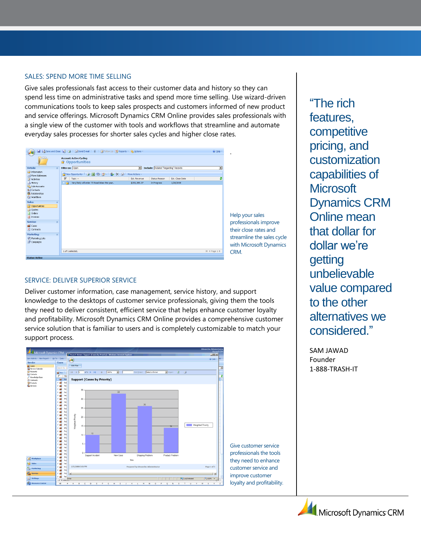#### SALES: SPEND MORE TIME SELLING

Give sales professionals fast access to their customer data and history so they can spend less time on administrative tasks and spend more time selling. Use wizard-driven communications tools to keep sales prospects and customers informed of new product and service offerings. Microsoft Dynamics CRM Online provides sales professionals with a single view of the customer with tools and workflows that streamline and automate everyday sales processes for shorter sales cycles and higher close rates.

|                                                                                  | Save and Close & B &   Bosend E-mail   0   B Follow Up   P Reports - 15 Actions - |                                                             | @ Help ~                 |
|----------------------------------------------------------------------------------|-----------------------------------------------------------------------------------|-------------------------------------------------------------|--------------------------|
|                                                                                  | <b>Account: Active Cycling</b><br><b>Opportunities</b><br>會.                      |                                                             |                          |
| <b>Details:</b><br>$\hat{z}$                                                     | Filter on: Open                                                                   | <b>Include: Related "Regarding" Records</b><br>$\mathbf{r}$ | $\overline{\phantom{a}}$ |
| Information<br>More Addresses                                                    | 音New Opportunity   台図図 ジ   & X 日                                                  | More Actions ~                                              |                          |
| Activities                                                                       | $\overline{V}$<br>Topic $\triangle$                                               | Est. Revenue<br>Est. Close Date<br><b>Status Reason</b>     | ø                        |
| <b>B</b> History                                                                 | Very likely will order 73 Road bikes this year.<br>Ĥ                              | \$153,385.37<br>1/28/2008<br>In Progress                    |                          |
| Sub-Accounts<br><b>S</b> Contacts<br><b>Relationships</b><br><b>Co</b> Workflows |                                                                                   |                                                             |                          |
| Sales:<br>$\hat{z}$                                                              |                                                                                   |                                                             |                          |
| Opportunities                                                                    |                                                                                   |                                                             |                          |
| ouotes                                                                           |                                                                                   |                                                             |                          |
| <b>R</b> Orders<br><b>Ed</b> Invoices                                            |                                                                                   |                                                             |                          |
| Service:<br>$\hat{z}$                                                            |                                                                                   |                                                             |                          |
| Cases                                                                            |                                                                                   |                                                             |                          |
| $\bullet$ Contracts                                                              |                                                                                   |                                                             |                          |
| <b>Marketing:</b><br>$\hat{\mathbf{x}}$                                          |                                                                                   |                                                             |                          |
| Marketing Lists                                                                  |                                                                                   |                                                             |                          |
| Campaigns                                                                        |                                                                                   |                                                             |                          |
|                                                                                  | 1 of 1 selected.                                                                  |                                                             | H 4 Page 1 P             |
|                                                                                  |                                                                                   |                                                             |                          |

elp your sales professionals improve eir close rates and reamline the sales cycle ith Microsoft Dynamics RM.

#### SERVICE: DELIVER SUPERIOR SERVICE

Deliver customer information, case management, service history, and support knowledge to the desktops of customer service professionals, giving them the tools they need to deliver consistent, efficient service that helps enhance customer loyalty and profitability. Microsoft Dynamics CRM Online provides a comprehensive customer service solution that is familiar to users and is completely customizable to match your support process.



"The rich features, competitive pricing, and customization capabilities of **Microsoft** Dynamics CRM Online mean that dollar for dollar we're getting unbelievable value compared to the other alternatives we considered."

SAM JAWAD Founder 1-888-TRASH-IT